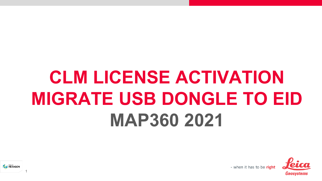# **CLM LICENSE ACTIVATION MIGRATE USB DONGLE TO EID MAP360 2021**





1

- when it has to be right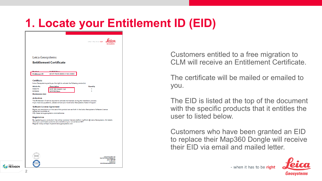## **1. Locate your Entitlement ID (EID)**

|                                              |                                                                                                                                                        | - when it has to be right                                                                                      |
|----------------------------------------------|--------------------------------------------------------------------------------------------------------------------------------------------------------|----------------------------------------------------------------------------------------------------------------|
| Leica Geosystems                             | <b>Entitlement Certificate</b>                                                                                                                         |                                                                                                                |
| <b>Entitlement ID</b>                        | <b>MADSRD Bas</b><br>00107-79315-00032-11191-15852                                                                                                     |                                                                                                                |
| Certificate                                  | Leica Geosystems grants you the right to activate the following product(s):                                                                            |                                                                                                                |
| <b>Article No.</b><br>5308173<br>5310939     | <b>Description</b><br>MAP 360 Sketch (1yr)<br>MAP360 Base                                                                                              | <b>Quantity</b><br>1<br>ł.                                                                                     |
| <b>Maintenance End:</b><br><b>Activation</b> | The Entitlement ID will be required to activate the licenses during the installation process.                                                          |                                                                                                                |
| <b>Software License Agreement</b>            | If you have any questions, please contact your local Leica Geosystems Sales & Support.                                                                 |                                                                                                                |
| Agreement available at:                      | Rights and restrictions on the use of this product are set forth in the Leica Geosystems Software License<br>http://www.leica-geosystems.com/swlicense |                                                                                                                |
| <b>Registration</b>                          | about your purchased products are available at your convenience 24/7.<br>Register today at https://myworld.leica-geosystems.com                        | By registering your products in the online customer internet platform myWorld @ Leica Geosystems, full details |
|                                              |                                                                                                                                                        |                                                                                                                |
|                                              |                                                                                                                                                        |                                                                                                                |
|                                              |                                                                                                                                                        |                                                                                                                |
|                                              |                                                                                                                                                        | Leica Geosystems AG<br>Max-Schmidheiny-Strasse 204<br>9435 Heerbrugg<br>+41 71 727 3131                        |

Customers entitled to a free migration to CLM will receive an Entitlement Certificate

The certificate will be mailed or emailed to you.

The EID is listed at the top of the document with the specific products that it entitles the user to listed below.

Customers who have been granted an EID to replace their Map360 Dongle will receive their EID via email and mailed letter.



- when it has to be right

**HEXAGON**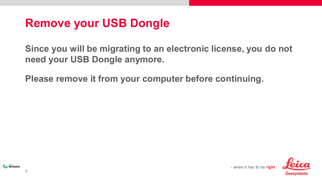#### **Remove your USB Dongle**

**Since you will be migrating to an electronic license, you do not need your USB Dongle anymore.**

**Please remove it from your computer before continuing.**



3

- when it has to be right

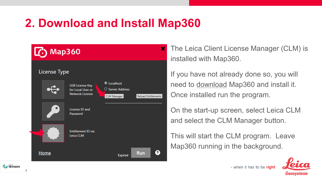## **2. Download and Install Map360**



The Leica Client License Manager (CLM) is installed with Map360.

If you have not already done so, you will need to [download](http://help.leicaims.com/index.php?/Knowledgebase/Article/View/1/0/leica-geosystems-incident-mapping-suite-release-history#mps) Map360 and install it. Once installed run the program.

On the start-up screen, select Leica CLM and select the CLM Manager button.

This will start the CLM program. Leave Map360 running in the background.



- when it has to be right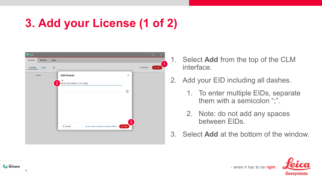## **3. Add your License (1 of 2)**



- 1. Select **Add** from the top of the CLM interface.
- 2. Add your EID including all dashes.
	- 1. To enter multiple EIDs, separate them with a semicolon ";".
	- 2. Note: do not add any spaces between EIDs.
- 3. Select **Add** at the bottom of the window.





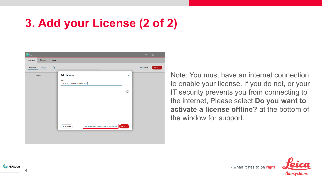## **3. Add your License (2 of 2)**



Note: You must have an internet connection to enable your license. If you do not, or your IT security prevents you from connecting to the internet, Please select **Do you want to activate a license offline?** at the bottom of the window for support.





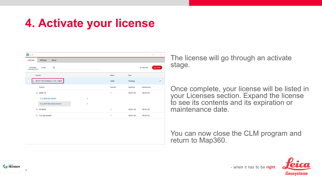## **4. Activate your license**

| CLM                    |                                      |              |               |            | $\Box$<br>$\times$    |
|------------------------|--------------------------------------|--------------|---------------|------------|-----------------------|
| Licenses               | <b>Settings</b><br>About             |              |               |            |                       |
| Q<br>Licenses<br>Usage |                                      |              |               |            | $+$ Borrow<br>$+$ Add |
| u<br>License           |                                      |              | <b>Status</b> | Type       |                       |
|                        | $\vee$ 00107-79315-00032-11191-15852 |              |               | Floating   | $\triangleright$      |
|                        | Product                              |              | Quantity      | Expiration | Maintenance           |
|                        | ~5308173                             |              | 1             | 03/31/22   | 03/31/22              |
|                        | TLS_MAP360.Sketch                    | $\mathbf{1}$ |               |            |                       |
|                        | TLS_MAP360_Maint.Sketch              | $\mathbf{1}$ |               |            |                       |
|                        | > 5310939                            |              | 1             | 03/31/22   | 03/31/22              |
|                        | > TLS_ServiceInfo                    |              | 1             | 03/31/22   | 03/31/22              |
|                        |                                      |              |               |            |                       |
|                        |                                      |              |               |            |                       |
|                        |                                      |              |               |            |                       |
|                        |                                      |              |               |            |                       |
|                        |                                      |              |               |            |                       |

The license will go through an activate stage.

Once complete, your license will be listed in your Licenses section. Expand the license to see its contents and its expiration or maintenance date.

You can now close the CLM program and return to Map360.



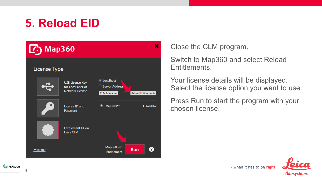## **5. Reload EID**



Close the CLM program.

Switch to Map360 and select Reload Entitlements.

Your license details will be displayed. Select the license option you want to use.

Press Run to start the program with your chosen license.

- when it has to be right



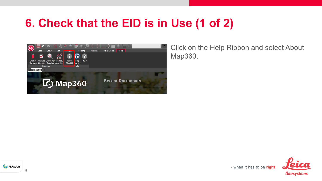## **6. Check that the EID is in Use (1 of 2)**



Click on the Help Ribbon and select About Map360.